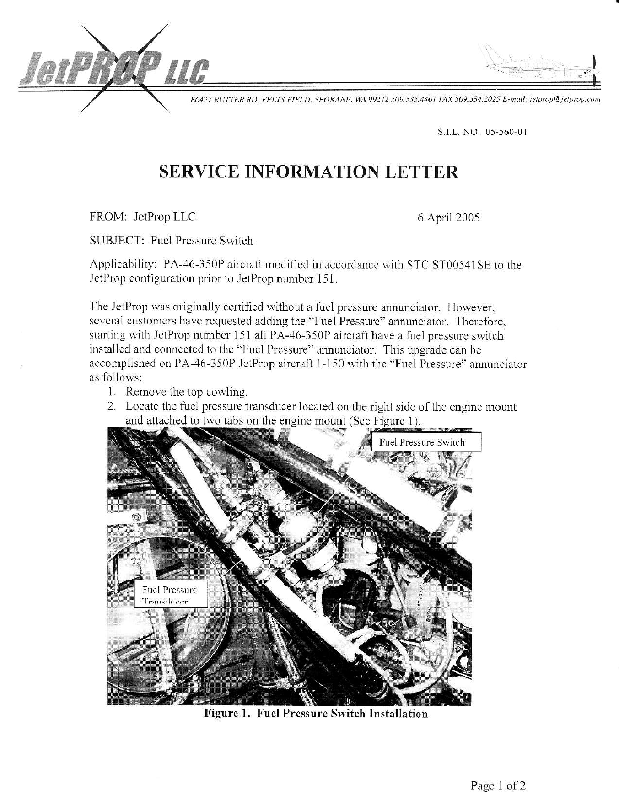E6427 RUTTER RD, FELTS FIELD, SPOKANE, WA 99212 509.535.4401 FAX 509.534.2025 E-mail: jetprop@jetprop.com

S.I.L. NO. 05-560-01

# **SERVICE INFORMATION LETTER**

FROM: JetProp LLC

etP

6 April 2005

**SUBJECT: Fuel Pressure Switch** 

Applicability: PA-46-350P aircraft modified in accordance with STC ST00541SE to the JetProp configuration prior to JetProp number 151.

The JetProp was originally certified without a fuel pressure annunciator. However, several customers have requested adding the "Fuel Pressure" annunciator. Therefore, starting with JetProp number 151 all PA-46-350P aircraft have a fuel pressure switch installed and connected to the "Fuel Pressure" annunciator. This upgrade can be accomplished on PA-46-350P JetProp aircraft 1-150 with the "Fuel Pressure" annunciator as follows:

- 1. Remove the top cowling.
- 2. Locate the fuel pressure transducer located on the right side of the engine mount and attached to two tabs on the engine mount (See Figure 1).



Figure 1. Fuel Pressure Switch Installation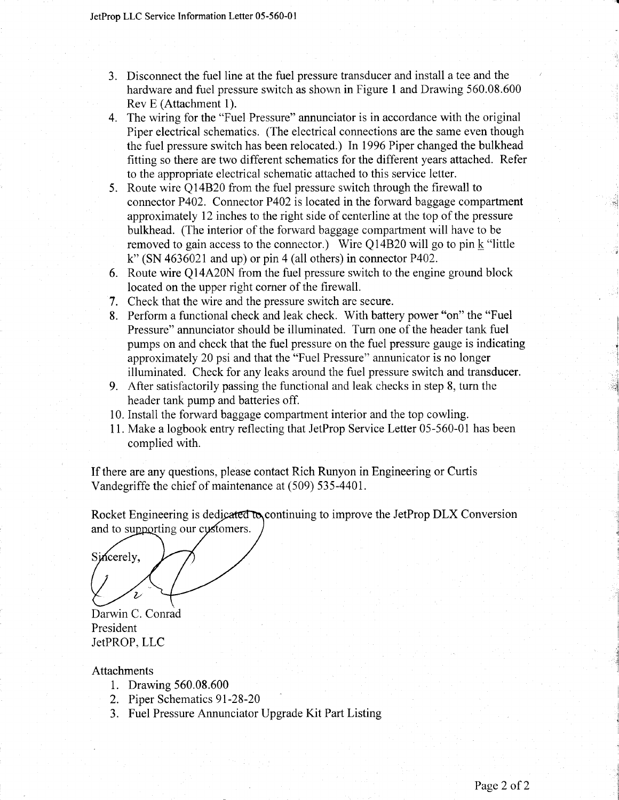- 3. Disconnect the fuel line at the fuel pressure transducer and install a tee and the hardware and fuel pressure switch as shown in Figure 1 and Drawing 560.08.600 Rev E (Attachment 1).
- 4. The wiring for the "Fuel Pressure" annunciator is in accordance with the original Piper electrical schematics. (The electrical connections are the same even though the fuel pressure switch has been relocated.) In 1996 Piper changed the bulkhead fitting so there are two different schematics for the different years attached. Refer to the appropriate electrical schematic attached to this service letter.
- 5. Route wire Q14820 from the fuel pressure switch through the firewall to connector P402. Connector P402 is located in the forward baggage compartment approximately 12 inches to the right side of centerline at the top of the pressure bulkhead. (The interior of the forward baggage compartment will have to be removed to gain access to the connector.) Wire Q14B20 will go to pin  $k$  "little k" (SN 4636021 and up) or pin 4 (all others) in connector P402.
- 6. Route wire Q14A20N from the fuel pressure switch to the engine ground block located on the upper right corner of the frrewall.
- 7. Check that the wire and the pressure switch are secure.
- 8. Perform a functional check and leak check. With battery power "on" the "Fuel Pressure" annunciator should be illuminated. Turn one of the header tank fuel pumps on and check that the fuel pressure on the fuel pressure gauge is indicating approximately 20 psi and that the "Fuel Pressure" annunicator is no longer illuminated. Check for any leaks around the fuel pressure switch and transducer.
- 9. After satisfactorily passing the functional and leak checks in step 8, turn the header tank pump and batteries off.
- 10. Install the forward baggage compartment interior and the top cowling.
- I 1. Make a logbook entry reflecting that JetProp Service Letter 05-560-01 has been complied with.

If there are any questions, please contact Rich Runyon in Engineering or Curtis Vandegriffe the chief of maintenance at (509) 535-440L

Rocket Engineering is dedicated to continuing to improve the JetProp DLX Conversion and to supporting our customers.

Sincerely. Darwin C. Conrad

President JetPROP, LLC

### Attachments

- 1. Drawing 560.08.600
- 2. Piper Schematics 9l-28-20
- 3. Fuel Pressure Annunciator Upgrade Kit Part Listing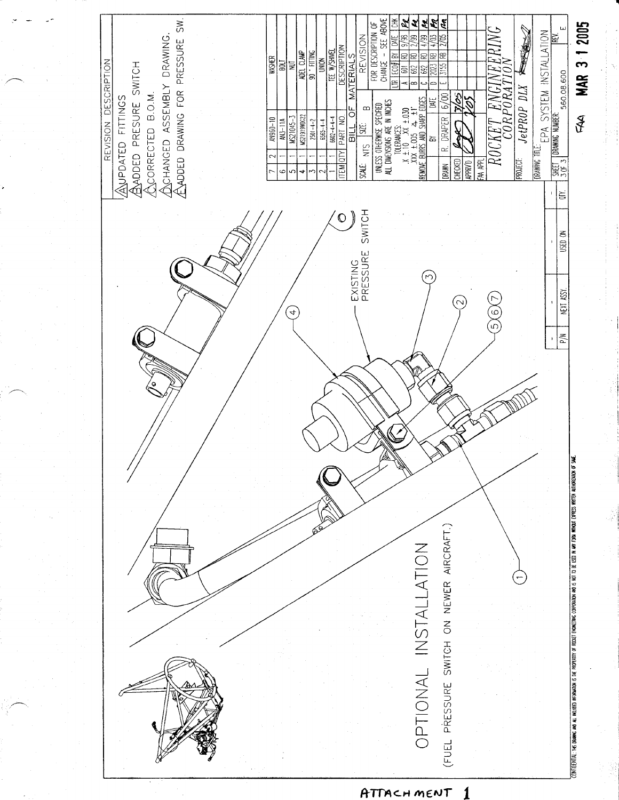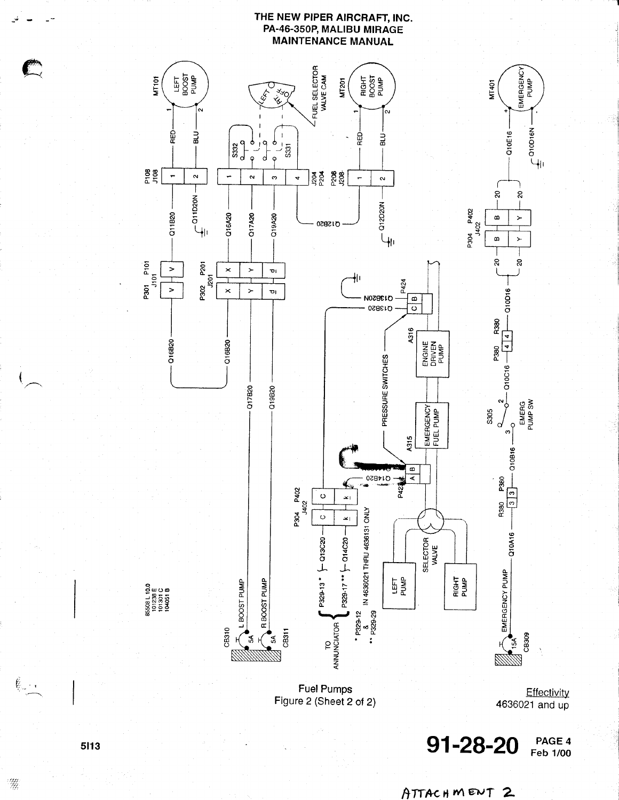#### THE NEW PIPER AIRCRAFT, INC. PA-46-350P, MALIBU MIRAGE **MAINTENANCE MANUAL**



4636021 and up

91-28-20 PAGE 4 **Feb 1/00** 

### 5113

 $\ell$  .

A.

ATTACHMENT 2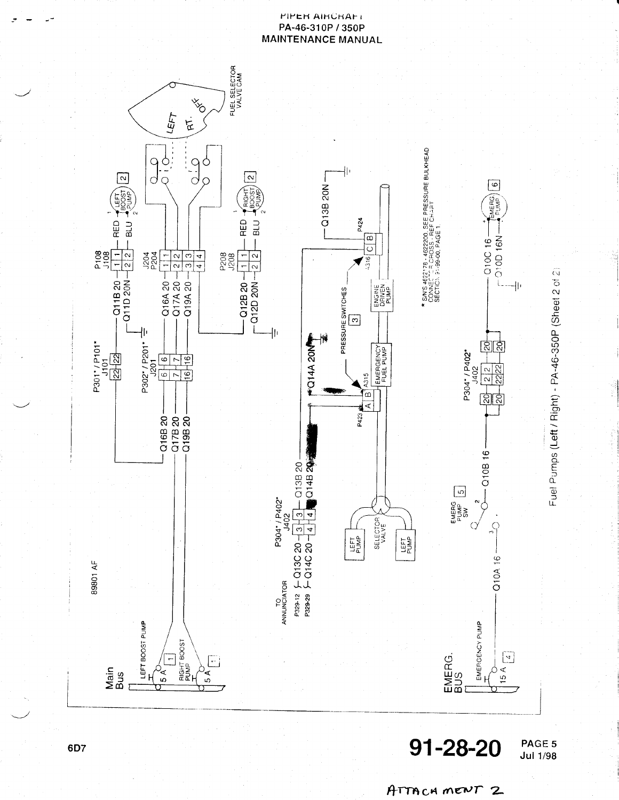#### PIPER AIRCRAFT PA-46-310P / 350P **MAINTENANCE MANUAL**



91-28-20

**PAGE 5**<br>Jul 1/98

ATTACHMENT 2

6D7